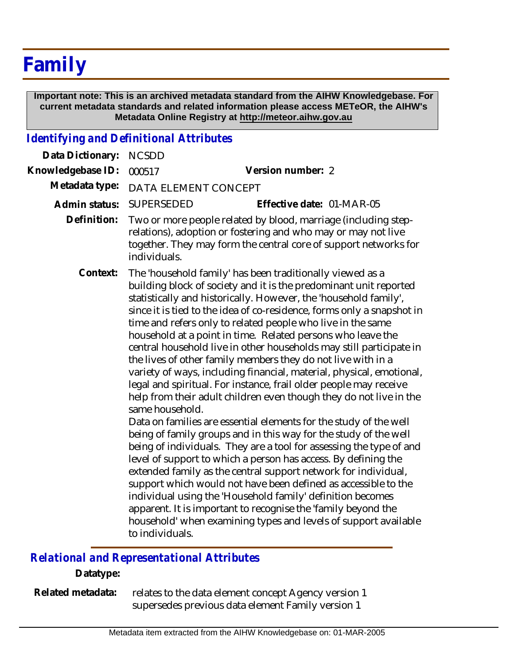# **Family**

 **Important note: This is an archived metadata standard from the AIHW Knowledgebase. For current metadata standards and related information please access METeOR, the AIHW's Metadata Online Registry at http://meteor.aihw.gov.au**

#### *Identifying and Definitional Attributes*

| Data Dictionary:  | <b>NCSDD</b>                                                                                                                                                                                                                                                                                                                                                                                                                                                                                                                                                                                                                                                                                                                                                                                                                                                                                                                                                                                                                                                                                                                                                                                                                                                                                                                                                                                                                       |                           |
|-------------------|------------------------------------------------------------------------------------------------------------------------------------------------------------------------------------------------------------------------------------------------------------------------------------------------------------------------------------------------------------------------------------------------------------------------------------------------------------------------------------------------------------------------------------------------------------------------------------------------------------------------------------------------------------------------------------------------------------------------------------------------------------------------------------------------------------------------------------------------------------------------------------------------------------------------------------------------------------------------------------------------------------------------------------------------------------------------------------------------------------------------------------------------------------------------------------------------------------------------------------------------------------------------------------------------------------------------------------------------------------------------------------------------------------------------------------|---------------------------|
| Knowledgebase ID: | 000517                                                                                                                                                                                                                                                                                                                                                                                                                                                                                                                                                                                                                                                                                                                                                                                                                                                                                                                                                                                                                                                                                                                                                                                                                                                                                                                                                                                                                             | Version number: 2         |
| Metadata type:    | DATA ELEMENT CONCEPT                                                                                                                                                                                                                                                                                                                                                                                                                                                                                                                                                                                                                                                                                                                                                                                                                                                                                                                                                                                                                                                                                                                                                                                                                                                                                                                                                                                                               |                           |
| Admin status:     | <b>SUPERSEDED</b>                                                                                                                                                                                                                                                                                                                                                                                                                                                                                                                                                                                                                                                                                                                                                                                                                                                                                                                                                                                                                                                                                                                                                                                                                                                                                                                                                                                                                  | Effective date: 01-MAR-05 |
| Definition:       | Two or more people related by blood, marriage (including step-<br>relations), adoption or fostering and who may or may not live<br>together. They may form the central core of support networks for<br>individuals.                                                                                                                                                                                                                                                                                                                                                                                                                                                                                                                                                                                                                                                                                                                                                                                                                                                                                                                                                                                                                                                                                                                                                                                                                |                           |
| Context:          | The 'household family' has been traditionally viewed as a<br>building block of society and it is the predominant unit reported<br>statistically and historically. However, the 'household family',<br>since it is tied to the idea of co-residence, forms only a snapshot in<br>time and refers only to related people who live in the same<br>household at a point in time. Related persons who leave the<br>central household live in other households may still participate in<br>the lives of other family members they do not live with in a<br>variety of ways, including financial, material, physical, emotional,<br>legal and spiritual. For instance, frail older people may receive<br>help from their adult children even though they do not live in the<br>same household.<br>Data on families are essential elements for the study of the well<br>being of family groups and in this way for the study of the well<br>being of individuals. They are a tool for assessing the type of and<br>level of support to which a person has access. By defining the<br>extended family as the central support network for individual,<br>support which would not have been defined as accessible to the<br>individual using the 'Household family' definition becomes<br>apparent. It is important to recognise the 'family beyond the<br>household' when examining types and levels of support available<br>to individuals. |                           |

## *Relational and Representational Attributes*

#### **Datatype:**

relates to the data element concept Agency version 1 supersedes previous data element Family version 1 **Related metadata:**